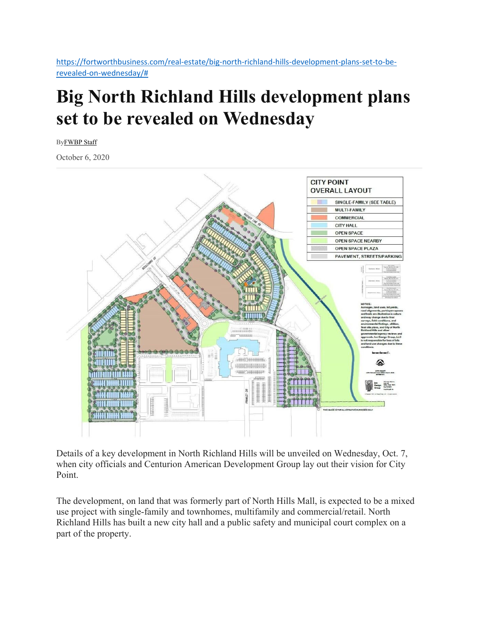https://fortworthbusiness.com/real-estate/big-north-richland-hills-development-plans-set-to-berevealed‐on‐wednesday/#

## **Big North Richland Hills development plans set to be revealed on Wednesday**

ByFWBP Staff

October 6, 2020



Details of a key development in North Richland Hills will be unveiled on Wednesday, Oct. 7, when city officials and Centurion American Development Group lay out their vision for City Point.

The development, on land that was formerly part of North Hills Mall, is expected to be a mixed use project with single-family and townhomes, multifamily and commercial/retail. North Richland Hills has built a new city hall and a public safety and municipal court complex on a part of the property.